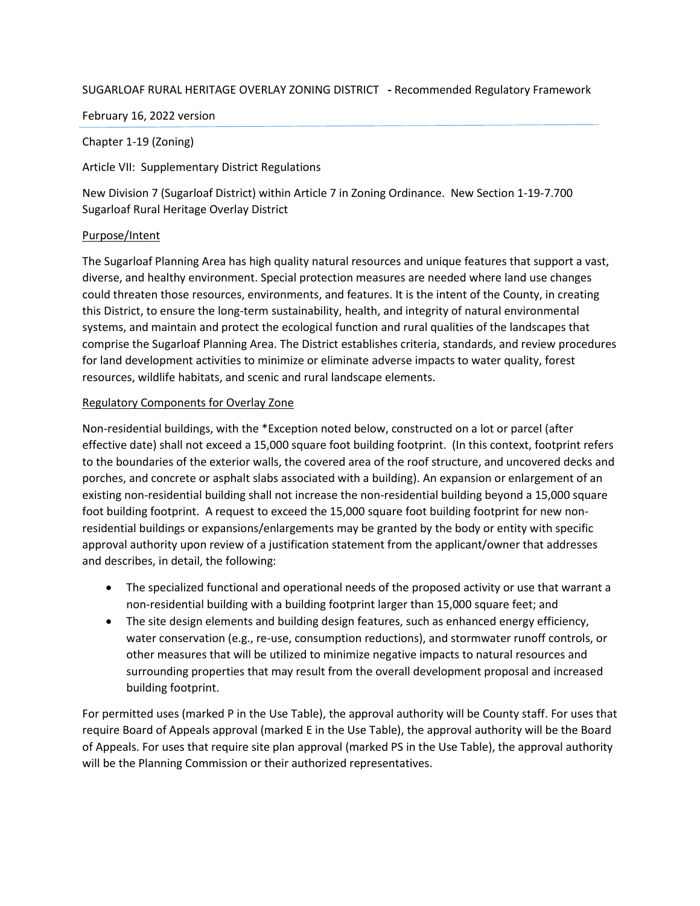### SUGARLOAF RURAL HERITAGE OVERLAY ZONING DISTRICT **-** Recommended Regulatory Framework

February 16, 2022 version

Chapter 1-19 (Zoning)

Article VII: Supplementary District Regulations

New Division 7 (Sugarloaf District) within Article 7 in Zoning Ordinance. New Section 1-19-7.700 Sugarloaf Rural Heritage Overlay District

## Purpose/Intent

The Sugarloaf Planning Area has high quality natural resources and unique features that support a vast, diverse, and healthy environment. Special protection measures are needed where land use changes could threaten those resources, environments, and features. It is the intent of the County, in creating this District, to ensure the long-term sustainability, health, and integrity of natural environmental systems, and maintain and protect the ecological function and rural qualities of the landscapes that comprise the Sugarloaf Planning Area. The District establishes criteria, standards, and review procedures for land development activities to minimize or eliminate adverse impacts to water quality, forest resources, wildlife habitats, and scenic and rural landscape elements.

## Regulatory Components for Overlay Zone

Non-residential buildings, with the \*Exception noted below, constructed on a lot or parcel (after effective date) shall not exceed a 15,000 square foot building footprint. (In this context, footprint refers to the boundaries of the exterior walls, the covered area of the roof structure, and uncovered decks and porches, and concrete or asphalt slabs associated with a building). An expansion or enlargement of an existing non-residential building shall not increase the non-residential building beyond a 15,000 square foot building footprint. A request to exceed the 15,000 square foot building footprint for new nonresidential buildings or expansions/enlargements may be granted by the body or entity with specific approval authority upon review of a justification statement from the applicant/owner that addresses and describes, in detail, the following:

- The specialized functional and operational needs of the proposed activity or use that warrant a non-residential building with a building footprint larger than 15,000 square feet; and
- The site design elements and building design features, such as enhanced energy efficiency, water conservation (e.g., re-use, consumption reductions), and stormwater runoff controls, or other measures that will be utilized to minimize negative impacts to natural resources and surrounding properties that may result from the overall development proposal and increased building footprint.

For permitted uses (marked P in the Use Table), the approval authority will be County staff. For uses that require Board of Appeals approval (marked E in the Use Table), the approval authority will be the Board of Appeals. For uses that require site plan approval (marked PS in the Use Table), the approval authority will be the Planning Commission or their authorized representatives.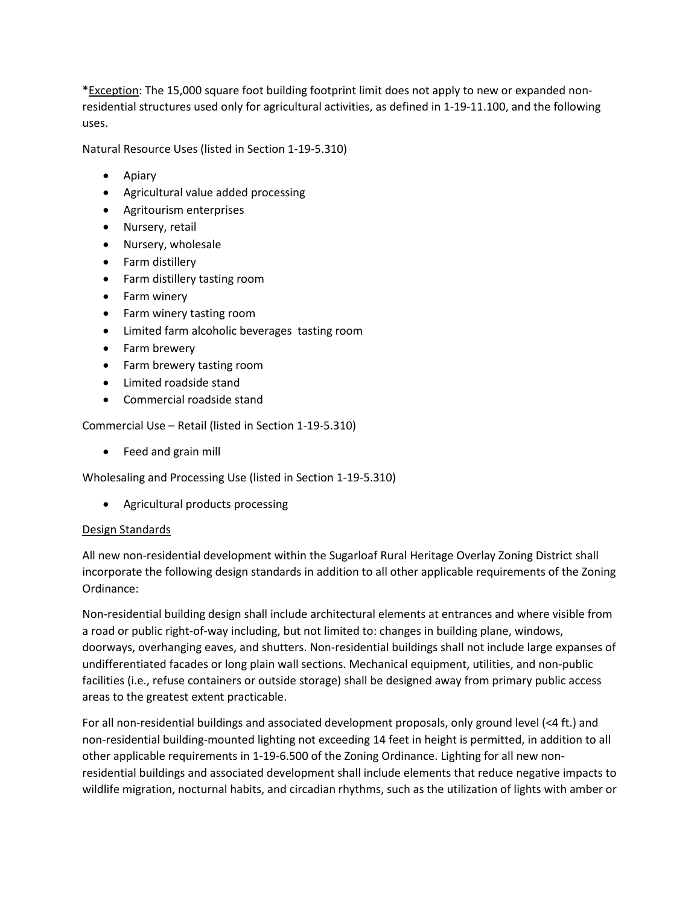\*Exception: The 15,000 square foot building footprint limit does not apply to new or expanded nonresidential structures used only for agricultural activities, as defined in 1-19-11.100, and the following uses.

Natural Resource Uses (listed in Section 1-19-5.310)

- Apiary
- Agricultural value added processing
- Agritourism enterprises
- Nursery, retail
- Nursery, wholesale
- Farm distillery
- Farm distillery tasting room
- Farm winery
- Farm winery tasting room
- Limited farm alcoholic beverages tasting room
- Farm brewery
- Farm brewery tasting room
- Limited roadside stand
- Commercial roadside stand

Commercial Use – Retail (listed in Section 1-19-5.310)

• Feed and grain mill

Wholesaling and Processing Use (listed in Section 1-19-5.310)

Agricultural products processing

#### Design Standards

All new non-residential development within the Sugarloaf Rural Heritage Overlay Zoning District shall incorporate the following design standards in addition to all other applicable requirements of the Zoning Ordinance:

Non-residential building design shall include architectural elements at entrances and where visible from a road or public right-of-way including, but not limited to: changes in building plane, windows, doorways, overhanging eaves, and shutters. Non-residential buildings shall not include large expanses of undifferentiated facades or long plain wall sections. Mechanical equipment, utilities, and non-public facilities (i.e., refuse containers or outside storage) shall be designed away from primary public access areas to the greatest extent practicable.

For all non-residential buildings and associated development proposals, only ground level (<4 ft.) and non-residential building-mounted lighting not exceeding 14 feet in height is permitted, in addition to all other applicable requirements in 1-19-6.500 of the Zoning Ordinance. Lighting for all new nonresidential buildings and associated development shall include elements that reduce negative impacts to wildlife migration, nocturnal habits, and circadian rhythms, such as the utilization of lights with amber or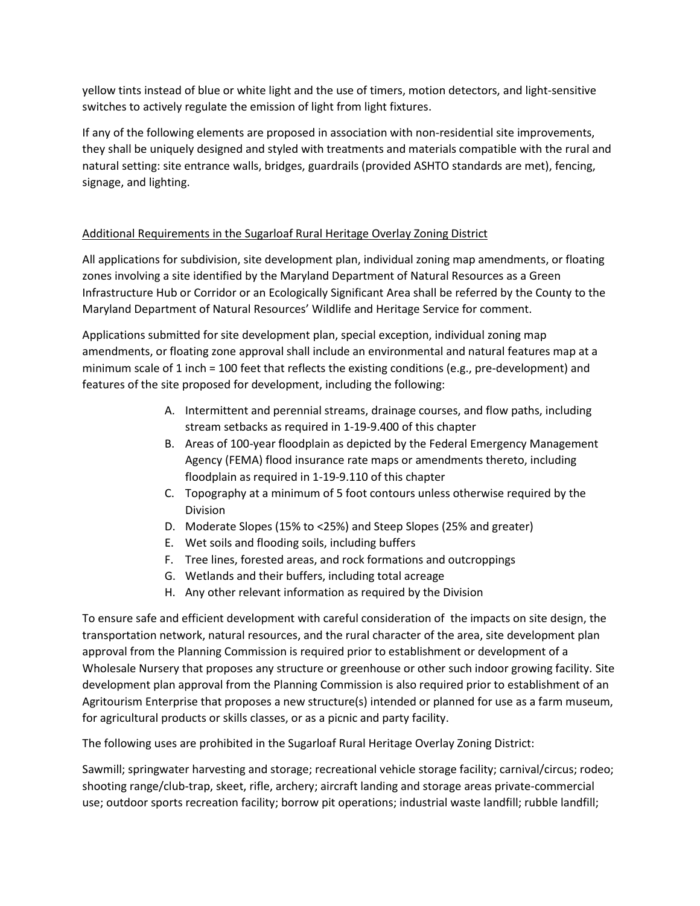yellow tints instead of blue or white light and the use of timers, motion detectors, and light-sensitive switches to actively regulate the emission of light from light fixtures.

If any of the following elements are proposed in association with non-residential site improvements, they shall be uniquely designed and styled with treatments and materials compatible with the rural and natural setting: site entrance walls, bridges, guardrails (provided ASHTO standards are met), fencing, signage, and lighting.

# Additional Requirements in the Sugarloaf Rural Heritage Overlay Zoning District

All applications for subdivision, site development plan, individual zoning map amendments, or floating zones involving a site identified by the Maryland Department of Natural Resources as a Green Infrastructure Hub or Corridor or an Ecologically Significant Area shall be referred by the County to the Maryland Department of Natural Resources' Wildlife and Heritage Service for comment.

Applications submitted for site development plan, special exception, individual zoning map amendments, or floating zone approval shall include an environmental and natural features map at a minimum scale of 1 inch = 100 feet that reflects the existing conditions (e.g., pre-development) and features of the site proposed for development, including the following:

- A. Intermittent and perennial streams, drainage courses, and flow paths, including stream setbacks as required in 1-19-9.400 of this chapter
- B. Areas of 100-year floodplain as depicted by the Federal Emergency Management Agency (FEMA) flood insurance rate maps or amendments thereto, including floodplain as required in 1-19-9.110 of this chapter
- C. Topography at a minimum of 5 foot contours unless otherwise required by the Division
- D. Moderate Slopes (15% to <25%) and Steep Slopes (25% and greater)
- E. Wet soils and flooding soils, including buffers
- F. Tree lines, forested areas, and rock formations and outcroppings
- G. Wetlands and their buffers, including total acreage
- H. Any other relevant information as required by the Division

To ensure safe and efficient development with careful consideration of the impacts on site design, the transportation network, natural resources, and the rural character of the area, site development plan approval from the Planning Commission is required prior to establishment or development of a Wholesale Nursery that proposes any structure or greenhouse or other such indoor growing facility. Site development plan approval from the Planning Commission is also required prior to establishment of an Agritourism Enterprise that proposes a new structure(s) intended or planned for use as a farm museum, for agricultural products or skills classes, or as a picnic and party facility.

The following uses are prohibited in the Sugarloaf Rural Heritage Overlay Zoning District:

Sawmill; springwater harvesting and storage; recreational vehicle storage facility; carnival/circus; rodeo; shooting range/club-trap, skeet, rifle, archery; aircraft landing and storage areas private-commercial use; outdoor sports recreation facility; borrow pit operations; industrial waste landfill; rubble landfill;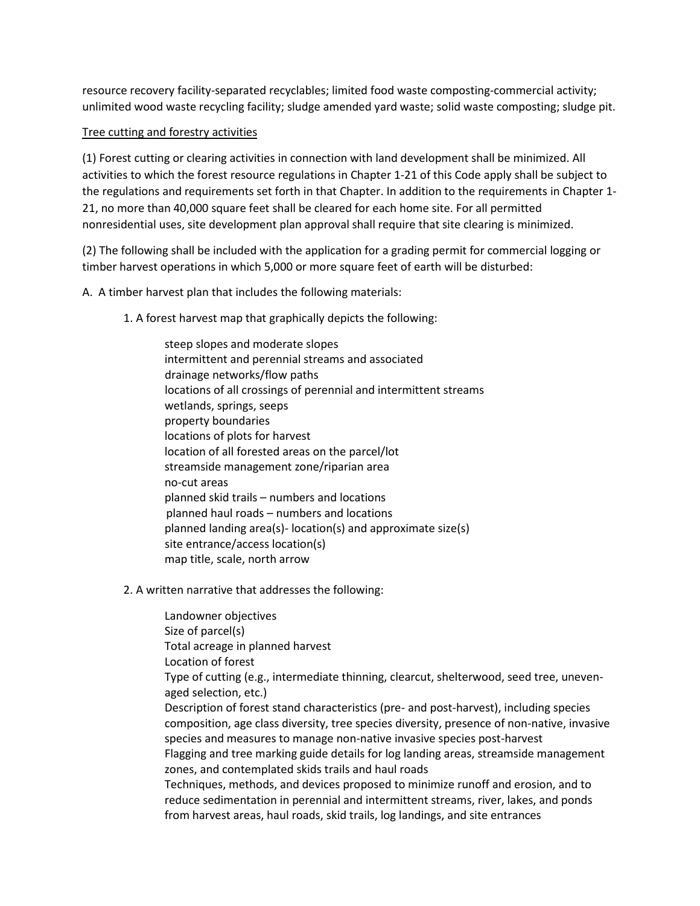resource recovery facility-separated recyclables; limited food waste composting-commercial activity; unlimited wood waste recycling facility; sludge amended yard waste; solid waste composting; sludge pit.

### Tree cutting and forestry activities

(1) Forest cutting or clearing activities in connection with land development shall be minimized. All activities to which the forest resource regulations in Chapter 1-21 of this Code apply shall be subject to the regulations and requirements set forth in that Chapter. In addition to the requirements in Chapter 1- 21, no more than 40,000 square feet shall be cleared for each home site. For all permitted nonresidential uses, site development plan approval shall require that site clearing is minimized.

(2) The following shall be included with the application for a grading permit for commercial logging or timber harvest operations in which 5,000 or more square feet of earth will be disturbed:

A. A timber harvest plan that includes the following materials:

1. A forest harvest map that graphically depicts the following:

steep slopes and moderate slopes intermittent and perennial streams and associated drainage networks/flow paths locations of all crossings of perennial and intermittent streams wetlands, springs, seeps property boundaries locations of plots for harvest location of all forested areas on the parcel/lot streamside management zone/riparian area no-cut areas planned skid trails – numbers and locations planned haul roads – numbers and locations planned landing area(s)- location(s) and approximate size(s) site entrance/access location(s) map title, scale, north arrow

2. A written narrative that addresses the following:

Landowner objectives Size of parcel(s) Total acreage in planned harvest Location of forest Type of cutting (e.g., intermediate thinning, clearcut, shelterwood, seed tree, unevenaged selection, etc.) Description of forest stand characteristics (pre- and post-harvest), including species composition, age class diversity, tree species diversity, presence of non-native, invasive species and measures to manage non-native invasive species post-harvest Flagging and tree marking guide details for log landing areas, streamside management zones, and contemplated skids trails and haul roads Techniques, methods, and devices proposed to minimize runoff and erosion, and to reduce sedimentation in perennial and intermittent streams, river, lakes, and ponds from harvest areas, haul roads, skid trails, log landings, and site entrances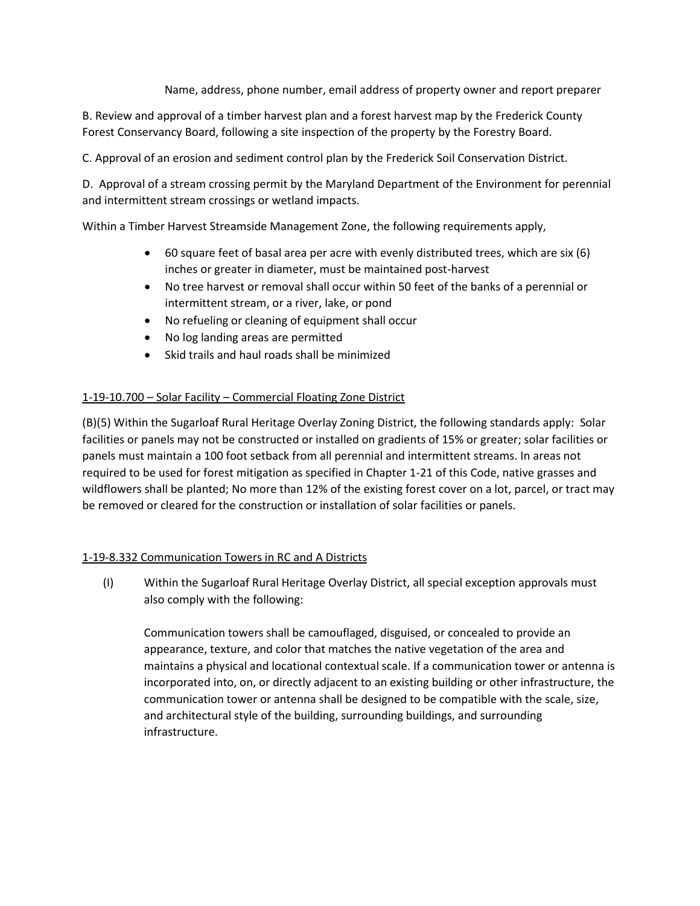Name, address, phone number, email address of property owner and report preparer

B. Review and approval of a timber harvest plan and a forest harvest map by the Frederick County Forest Conservancy Board, following a site inspection of the property by the Forestry Board.

C. Approval of an erosion and sediment control plan by the Frederick Soil Conservation District.

D. Approval of a stream crossing permit by the Maryland Department of the Environment for perennial and intermittent stream crossings or wetland impacts.

Within a Timber Harvest Streamside Management Zone, the following requirements apply,

- 60 square feet of basal area per acre with evenly distributed trees, which are six (6) inches or greater in diameter, must be maintained post-harvest
- No tree harvest or removal shall occur within 50 feet of the banks of a perennial or intermittent stream, or a river, lake, or pond
- No refueling or cleaning of equipment shall occur
- No log landing areas are permitted
- Skid trails and haul roads shall be minimized

## 1-19-10.700 – Solar Facility – Commercial Floating Zone District

(B)(5) Within the Sugarloaf Rural Heritage Overlay Zoning District, the following standards apply: Solar facilities or panels may not be constructed or installed on gradients of 15% or greater; solar facilities or panels must maintain a 100 foot setback from all perennial and intermittent streams. In areas not required to be used for forest mitigation as specified in Chapter 1-21 of this Code, native grasses and wildflowers shall be planted; No more than 12% of the existing forest cover on a lot, parcel, or tract may be removed or cleared for the construction or installation of solar facilities or panels.

# 1-19-8.332 Communication Towers in RC and A Districts

(I) Within the Sugarloaf Rural Heritage Overlay District, all special exception approvals must also comply with the following:

Communication towers shall be camouflaged, disguised, or concealed to provide an appearance, texture, and color that matches the native vegetation of the area and maintains a physical and locational contextual scale. If a communication tower or antenna is incorporated into, on, or directly adjacent to an existing building or other infrastructure, the communication tower or antenna shall be designed to be compatible with the scale, size, and architectural style of the building, surrounding buildings, and surrounding infrastructure.